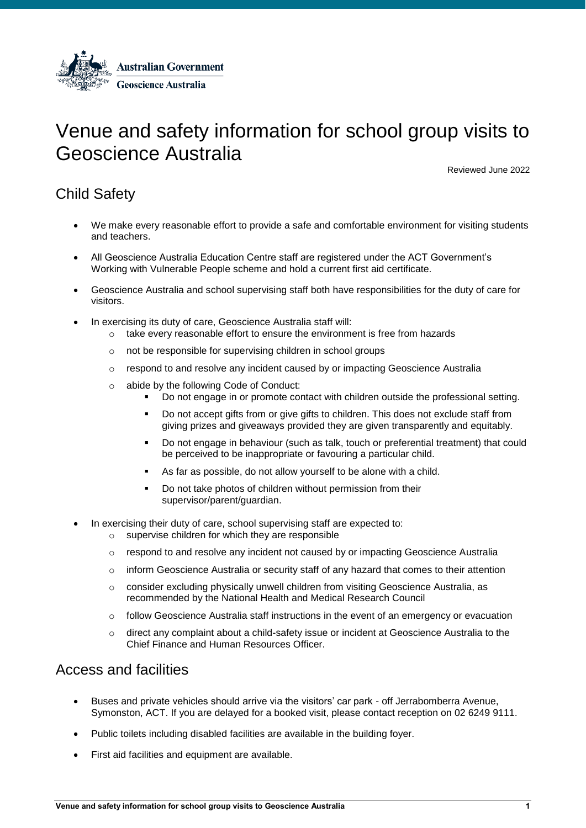

# Venue and safety information for school group visits to Geoscience Australia

Reviewed June 2022

## Child Safety

- We make every reasonable effort to provide a safe and comfortable environment for visiting students and teachers.
- All Geoscience Australia Education Centre staff are registered under the ACT Government's Working with Vulnerable People scheme and hold a current first aid certificate.
- Geoscience Australia and school supervising staff both have responsibilities for the duty of care for visitors.
- In exercising its duty of care, Geoscience Australia staff will:
	- $\circ$  take every reasonable effort to ensure the environment is free from hazards
	- o not be responsible for supervising children in school groups
	- $\circ$  respond to and resolve any incident caused by or impacting Geoscience Australia
	- o abide by the following Code of Conduct:
		- Do not engage in or promote contact with children outside the professional setting.
		- Do not accept gifts from or give gifts to children. This does not exclude staff from giving prizes and giveaways provided they are given transparently and equitably.
		- Do not engage in behaviour (such as talk, touch or preferential treatment) that could be perceived to be inappropriate or favouring a particular child.
		- As far as possible, do not allow yourself to be alone with a child.
		- Do not take photos of children without permission from their supervisor/parent/guardian.
- In exercising their duty of care, school supervising staff are expected to:
	- supervise children for which they are responsible
	- o respond to and resolve any incident not caused by or impacting Geoscience Australia
	- $\circ$  inform Geoscience Australia or security staff of any hazard that comes to their attention
	- $\circ$  consider excluding physically unwell children from visiting Geoscience Australia, as recommended by the National Health and Medical Research Council
	- o follow Geoscience Australia staff instructions in the event of an emergency or evacuation
	- o direct any complaint about a child-safety issue or incident at Geoscience Australia to the Chief Finance and Human Resources Officer.

### Access and facilities

- Buses and private vehicles should arrive via the visitors' car park off Jerrabomberra Avenue, Symonston, ACT. If you are delayed for a booked visit, please contact reception on 02 6249 9111.
- Public toilets including disabled facilities are available in the building foyer.
- First aid facilities and equipment are available.